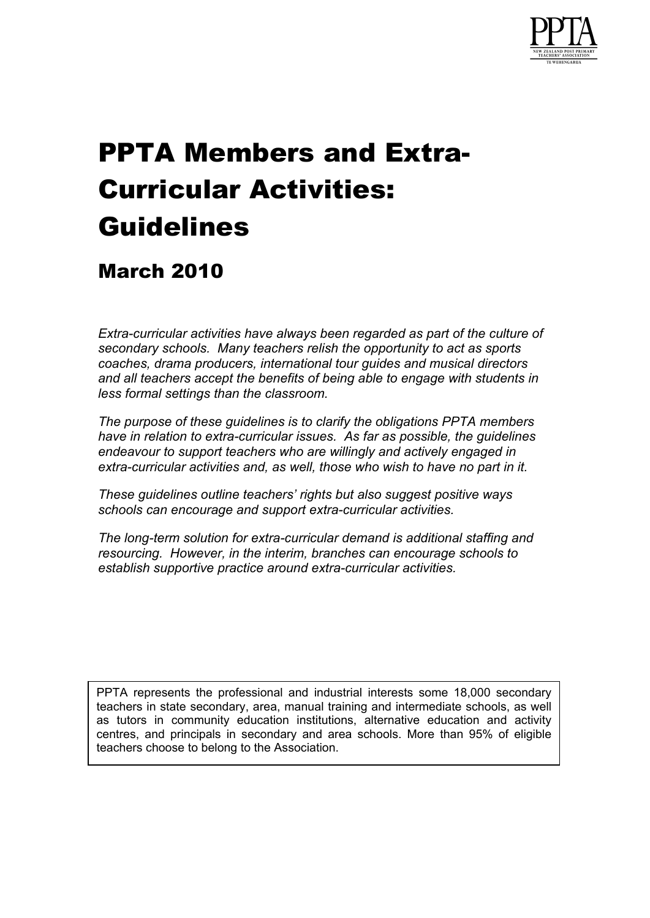

# PPTA Members and Extra-Curricular Activities: Guidelines

### March 2010

*Extra-curricular activities have always been regarded as part of the culture of secondary schools. Many teachers relish the opportunity to act as sports coaches, drama producers, international tour guides and musical directors and all teachers accept the benefits of being able to engage with students in less formal settings than the classroom.* 

*The purpose of these guidelines is to clarify the obligations PPTA members have in relation to extra-curricular issues. As far as possible, the guidelines endeavour to support teachers who are willingly and actively engaged in extra-curricular activities and, as well, those who wish to have no part in it.* 

*These guidelines outline teachers' rights but also suggest positive ways schools can encourage and support extra-curricular activities.* 

*The long-term solution for extra-curricular demand is additional staffing and resourcing. However, in the interim, branches can encourage schools to establish supportive practice around extra-curricular activities.* 

PPTA represents the professional and industrial interests some 18,000 secondary teachers in state secondary, area, manual training and intermediate schools, as well as tutors in community education institutions, alternative education and activity centres, and principals in secondary and area schools. More than 95% of eligible teachers choose to belong to the Association.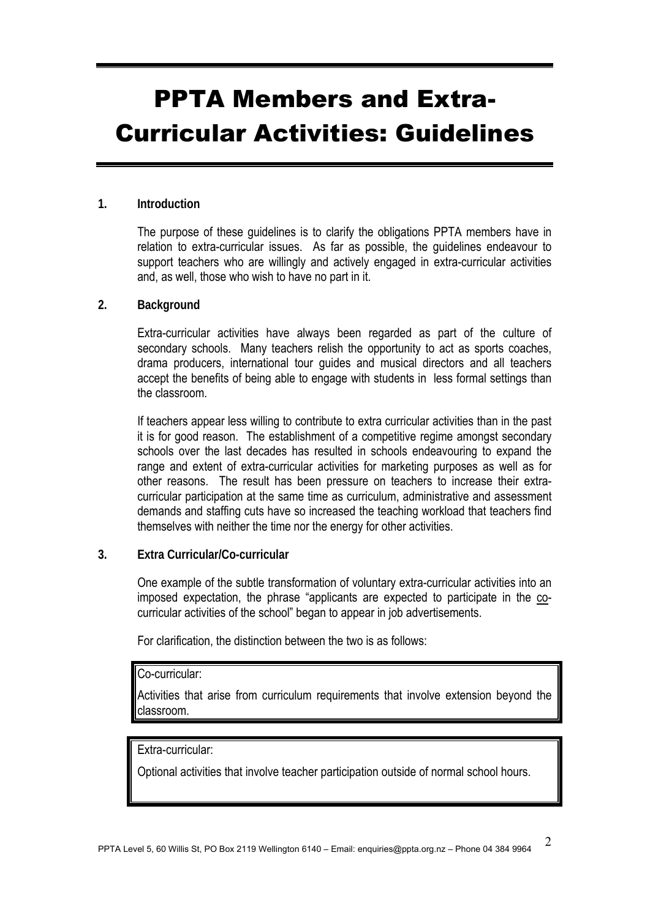## PPTA Members and Extra-Curricular Activities: Guidelines

#### **1. Introduction**

The purpose of these guidelines is to clarify the obligations PPTA members have in relation to extra-curricular issues. As far as possible, the guidelines endeavour to support teachers who are willingly and actively engaged in extra-curricular activities and, as well, those who wish to have no part in it.

#### **2. Background**

Extra-curricular activities have always been regarded as part of the culture of secondary schools. Many teachers relish the opportunity to act as sports coaches, drama producers, international tour guides and musical directors and all teachers accept the benefits of being able to engage with students in less formal settings than the classroom.

If teachers appear less willing to contribute to extra curricular activities than in the past it is for good reason. The establishment of a competitive regime amongst secondary schools over the last decades has resulted in schools endeavouring to expand the range and extent of extra-curricular activities for marketing purposes as well as for other reasons. The result has been pressure on teachers to increase their extracurricular participation at the same time as curriculum, administrative and assessment demands and staffing cuts have so increased the teaching workload that teachers find themselves with neither the time nor the energy for other activities.

#### **3. Extra Curricular/Co-curricular**

One example of the subtle transformation of voluntary extra-curricular activities into an imposed expectation, the phrase "applicants are expected to participate in the cocurricular activities of the school" began to appear in job advertisements.

For clarification, the distinction between the two is as follows:

Co-curricular:

Activities that arise from curriculum requirements that involve extension beyond the classroom.

#### Extra-curricular:

Optional activities that involve teacher participation outside of normal school hours.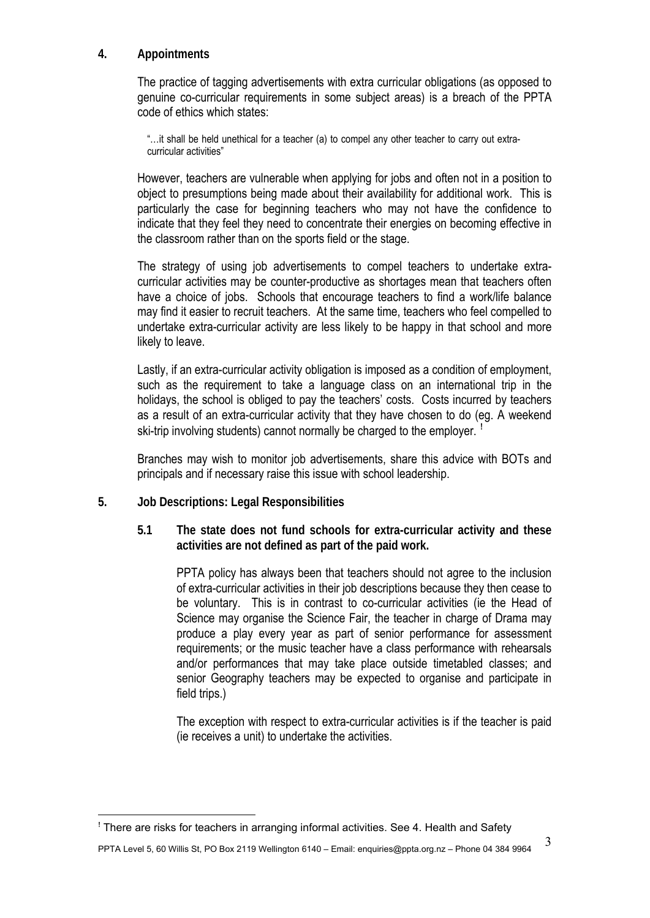#### **4. Appointments**

The practice of tagging advertisements with extra curricular obligations (as opposed to genuine co-curricular requirements in some subject areas) is a breach of the PPTA code of ethics which states:

"…it shall be held unethical for a teacher (a) to compel any other teacher to carry out extracurricular activities"

However, teachers are vulnerable when applying for jobs and often not in a position to object to presumptions being made about their availability for additional work. This is particularly the case for beginning teachers who may not have the confidence to indicate that they feel they need to concentrate their energies on becoming effective in the classroom rather than on the sports field or the stage.

The strategy of using job advertisements to compel teachers to undertake extracurricular activities may be counter-productive as shortages mean that teachers often have a choice of jobs. Schools that encourage teachers to find a work/life balance may find it easier to recruit teachers. At the same time, teachers who feel compelled to undertake extra-curricular activity are less likely to be happy in that school and more likely to leave.

Lastly, if an extra-curricular activity obligation is imposed as a condition of employment, such as the requirement to take a language class on an international trip in the holidays, the school is obliged to pay the teachers' costs. Costs incurred by teachers as a result of an extra-curricular activity that they have chosen to do (eg. A weekend ski-trip involving students) cannot normally be charged to the employer. <sup>[!](#page-2-0)</sup>

Branches may wish to monitor job advertisements, share this advice with BOTs and principals and if necessary raise this issue with school leadership.

- **5. Job Descriptions: Legal Responsibilities** 
	- **5.1 The state does not fund schools for extra-curricular activity and these activities are not defined as part of the paid work.**

PPTA policy has always been that teachers should not agree to the inclusion of extra-curricular activities in their job descriptions because they then cease to be voluntary. This is in contrast to co-curricular activities (ie the Head of Science may organise the Science Fair, the teacher in charge of Drama may produce a play every year as part of senior performance for assessment requirements; or the music teacher have a class performance with rehearsals and/or performances that may take place outside timetabled classes; and senior Geography teachers may be expected to organise and participate in field trips.)

The exception with respect to extra-curricular activities is if the teacher is paid (ie receives a unit) to undertake the activities.

<span id="page-2-0"></span> $\overline{a}$ ! There are risks for teachers in arranging informal activities. See 4. Health and Safety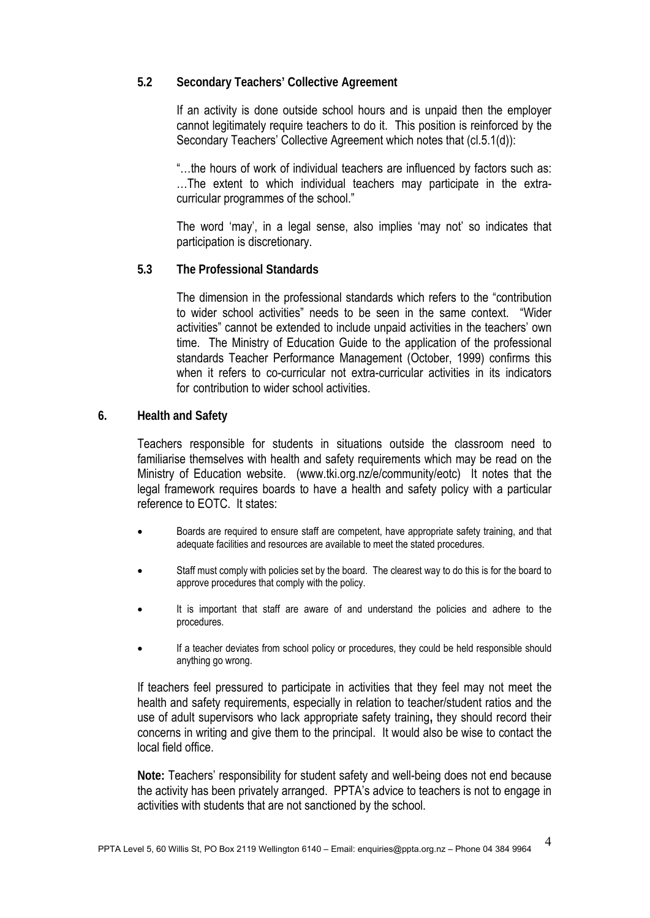#### **5.2 Secondary Teachers' Collective Agreement**

If an activity is done outside school hours and is unpaid then the employer cannot legitimately require teachers to do it. This position is reinforced by the Secondary Teachers' Collective Agreement which notes that (cl.5.1(d)):

"…the hours of work of individual teachers are influenced by factors such as: …The extent to which individual teachers may participate in the extracurricular programmes of the school."

The word 'may', in a legal sense, also implies 'may not' so indicates that participation is discretionary.

#### **5.3 The Professional Standards**

The dimension in the professional standards which refers to the "contribution to wider school activities" needs to be seen in the same context. "Wider activities" cannot be extended to include unpaid activities in the teachers' own time. The Ministry of Education Guide to the application of the professional standards Teacher Performance Management (October, 1999) confirms this when it refers to co-curricular not extra-curricular activities in its indicators for contribution to wider school activities.

#### **6. Health and Safety**

Teachers responsible for students in situations outside the classroom need to familiarise themselves with health and safety requirements which may be read on the Ministry of Education website. (www.tki.org.nz/e/community/eotc) It notes that the legal framework requires boards to have a health and safety policy with a particular reference to EOTC. It states:

- Boards are required to ensure staff are competent, have appropriate safety training, and that adequate facilities and resources are available to meet the stated procedures.
- Staff must comply with policies set by the board. The clearest way to do this is for the board to approve procedures that comply with the policy.
- It is important that staff are aware of and understand the policies and adhere to the procedures.
- If a teacher deviates from school policy or procedures, they could be held responsible should anything go wrong.

If teachers feel pressured to participate in activities that they feel may not meet the health and safety requirements, especially in relation to teacher/student ratios and the use of adult supervisors who lack appropriate safety training**,** they should record their concerns in writing and give them to the principal. It would also be wise to contact the local field office.

**Note:** Teachers' responsibility for student safety and well-being does not end because the activity has been privately arranged. PPTA's advice to teachers is not to engage in activities with students that are not sanctioned by the school.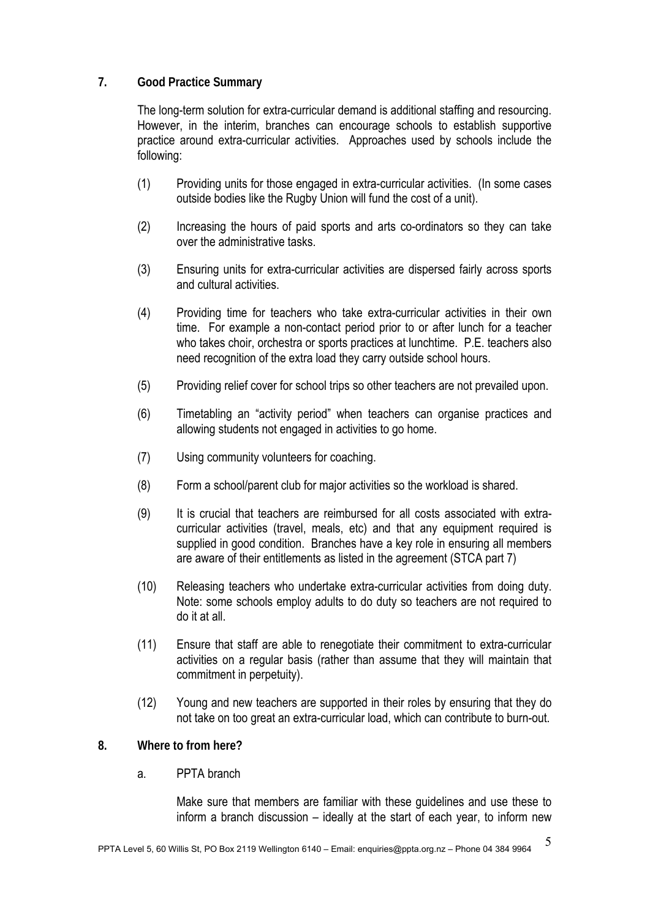#### **7. Good Practice Summary**

The long-term solution for extra-curricular demand is additional staffing and resourcing. However, in the interim, branches can encourage schools to establish supportive practice around extra-curricular activities. Approaches used by schools include the following:

- (1) Providing units for those engaged in extra-curricular activities. (In some cases outside bodies like the Rugby Union will fund the cost of a unit).
- (2) Increasing the hours of paid sports and arts co-ordinators so they can take over the administrative tasks.
- (3) Ensuring units for extra-curricular activities are dispersed fairly across sports and cultural activities.
- (4) Providing time for teachers who take extra-curricular activities in their own time. For example a non-contact period prior to or after lunch for a teacher who takes choir, orchestra or sports practices at lunchtime. P.E. teachers also need recognition of the extra load they carry outside school hours.
- (5) Providing relief cover for school trips so other teachers are not prevailed upon.
- (6) Timetabling an "activity period" when teachers can organise practices and allowing students not engaged in activities to go home.
- (7) Using community volunteers for coaching.
- (8) Form a school/parent club for major activities so the workload is shared.
- (9) It is crucial that teachers are reimbursed for all costs associated with extracurricular activities (travel, meals, etc) and that any equipment required is supplied in good condition. Branches have a key role in ensuring all members are aware of their entitlements as listed in the agreement (STCA part 7)
- (10) Releasing teachers who undertake extra-curricular activities from doing duty. Note: some schools employ adults to do duty so teachers are not required to do it at all.
- (11) Ensure that staff are able to renegotiate their commitment to extra-curricular activities on a regular basis (rather than assume that they will maintain that commitment in perpetuity).
- (12) Young and new teachers are supported in their roles by ensuring that they do not take on too great an extra-curricular load, which can contribute to burn-out.

#### **8. Where to from here?**

a. PPTA branch

Make sure that members are familiar with these guidelines and use these to inform a branch discussion – ideally at the start of each year, to inform new